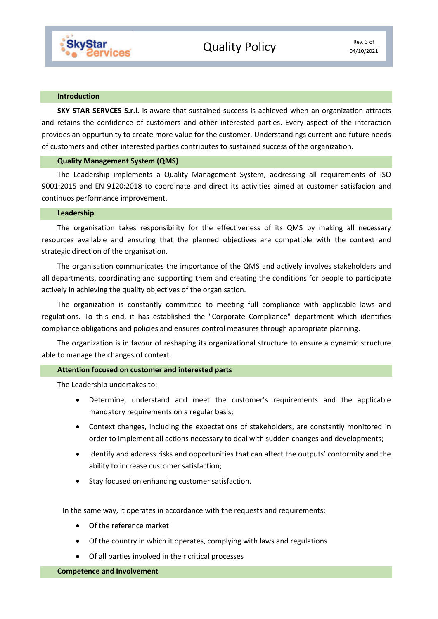

#### **Introduction**

**SKY STAR SERVCES S.r.l.** is aware that sustained success is achieved when an organization attracts and retains the confidence of customers and other interested parties. Every aspect of the interaction provides an oppurtunity to create more value for the customer. Understandings current and future needs of customers and other interested parties contributes to sustained success of the organization.

#### **Quality Management System (QMS)**

The Leadership implements a Quality Management System, addressing all requirements of ISO 9001:2015 and EN 9120:2018 to coordinate and direct its activities aimed at customer satisfacion and continuos performance improvement.

## **Leadership**

The organisation takes responsibility for the effectiveness of its QMS by making all necessary resources available and ensuring that the planned objectives are compatible with the context and strategic direction of the organisation.

The organisation communicates the importance of the QMS and actively involves stakeholders and all departments, coordinating and supporting them and creating the conditions for people to participate actively in achieving the quality objectives of the organisation.

The organization is constantly committed to meeting full compliance with applicable laws and regulations. To this end, it has established the "Corporate Compliance" department which identifies compliance obligations and policies and ensures control measures through appropriate planning.

The organization is in favour of reshaping its organizational structure to ensure a dynamic structure able to manage the changes of context.

### **Attention focused on customer and interested parts**

The Leadership undertakes to:

- Determine, understand and meet the customer's requirements and the applicable mandatory requirements on a regular basis;
- Context changes, including the expectations of stakeholders, are constantly monitored in order to implement all actions necessary to deal with sudden changes and developments;
- Identify and address risks and opportunities that can affect the outputs' conformity and the ability to increase customer satisfaction;
- Stay focused on enhancing customer satisfaction.

In the same way, it operates in accordance with the requests and requirements:

- Of the reference market
- Of the country in which it operates, complying with laws and regulations
- Of all parties involved in their critical processes

**Competence and Involvement**